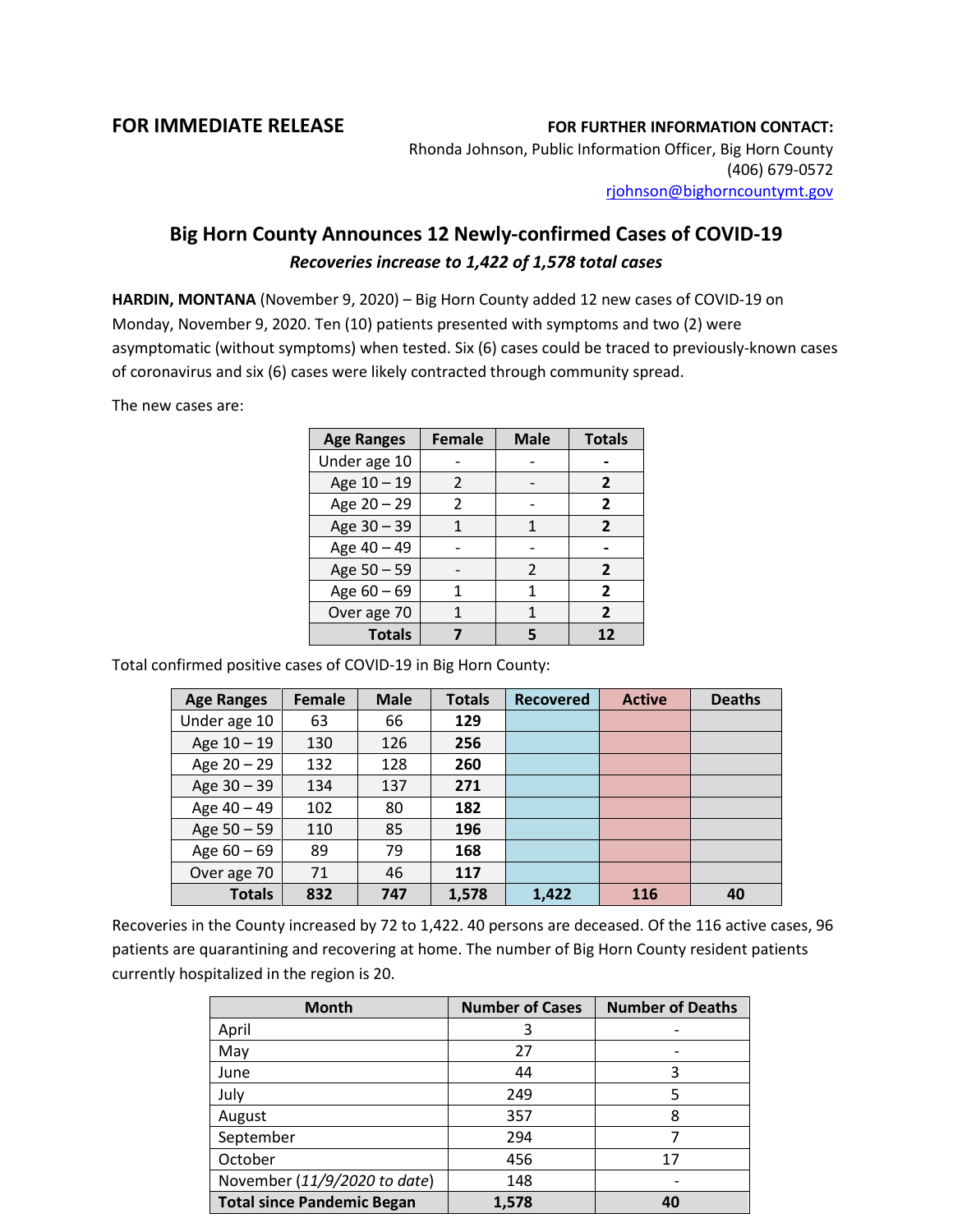## **FOR IMMEDIATE RELEASE FOR FURTHER INFORMATION CONTACT:**

Rhonda Johnson, Public Information Officer, Big Horn County (406) 679-0572 [rjohnson@bighorncountymt.gov](mailto:rjohnson@bighorncountymt.gov)

## **Big Horn County Announces 12 Newly-confirmed Cases of COVID-19** *Recoveries increase to 1,422 of 1,578 total cases*

**HARDIN, MONTANA** (November 9, 2020) – Big Horn County added 12 new cases of COVID-19 on Monday, November 9, 2020. Ten (10) patients presented with symptoms and two (2) were asymptomatic (without symptoms) when tested. Six (6) cases could be traced to previously-known cases of coronavirus and six (6) cases were likely contracted through community spread.

The new cases are:

| <b>Age Ranges</b> | <b>Female</b> | <b>Male</b>    | <b>Totals</b>  |
|-------------------|---------------|----------------|----------------|
| Under age 10      |               |                |                |
| Age 10 - 19       | $\mathcal{P}$ |                | 2              |
| Age 20 - 29       | 2             |                | $\overline{2}$ |
| Age 30 - 39       |               | 1              | $\overline{2}$ |
| Age 40 - 49       |               |                |                |
| Age 50 - 59       |               | $\mathfrak{p}$ | $\overline{2}$ |
| Age 60 - 69       |               | 1              | $\overline{2}$ |
| Over age 70       |               |                | $\mathbf{z}$   |
| <b>Totals</b>     |               |                | 12             |

Total confirmed positive cases of COVID-19 in Big Horn County:

| <b>Age Ranges</b> | <b>Female</b> | <b>Male</b> | <b>Totals</b> | <b>Recovered</b> | <b>Active</b> | <b>Deaths</b> |
|-------------------|---------------|-------------|---------------|------------------|---------------|---------------|
| Under age 10      | 63            | 66          | 129           |                  |               |               |
| Age $10 - 19$     | 130           | 126         | 256           |                  |               |               |
| Age 20 - 29       | 132           | 128         | 260           |                  |               |               |
| Age 30 - 39       | 134           | 137         | 271           |                  |               |               |
| Age 40 - 49       | 102           | 80          | 182           |                  |               |               |
| Age 50 - 59       | 110           | 85          | 196           |                  |               |               |
| Age $60 - 69$     | 89            | 79          | 168           |                  |               |               |
| Over age 70       | 71            | 46          | 117           |                  |               |               |
| <b>Totals</b>     | 832           | 747         | 1,578         | 1,422            | 116           | 40            |

Recoveries in the County increased by 72 to 1,422. 40 persons are deceased. Of the 116 active cases, 96 patients are quarantining and recovering at home. The number of Big Horn County resident patients currently hospitalized in the region is 20.

| <b>Month</b>                      | <b>Number of Cases</b> | <b>Number of Deaths</b> |
|-----------------------------------|------------------------|-------------------------|
| April                             | 3                      |                         |
| May                               | 27                     |                         |
| June                              | 44                     | 3                       |
| July                              | 249                    | 5                       |
| August                            | 357                    | 8                       |
| September                         | 294                    |                         |
| October                           | 456                    | 17                      |
| November (11/9/2020 to date)      | 148                    |                         |
| <b>Total since Pandemic Began</b> | 1,578                  | 40                      |